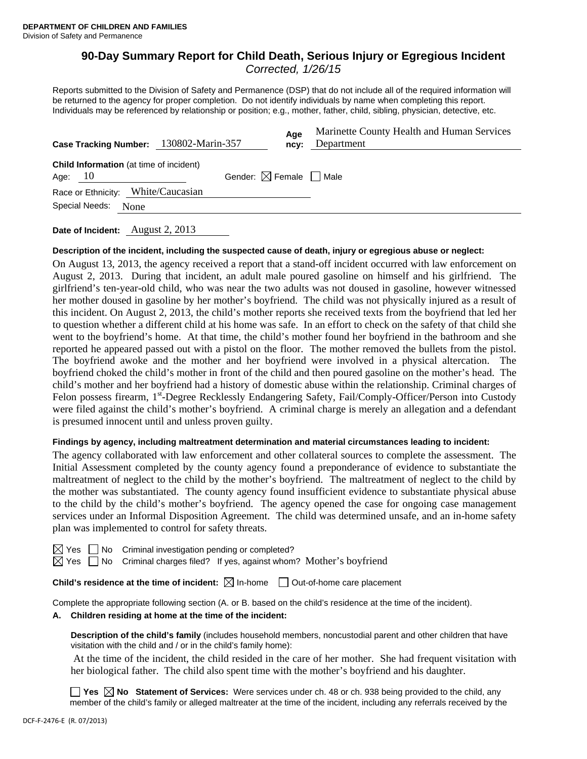# **90-Day Summary Report for Child Death, Serious Injury or Egregious Incident**  *Corrected, 1/26/15*

Reports submitted to the Division of Safety and Permanence (DSP) that do not include all of the required information will be returned to the agency for proper completion. Do not identify individuals by name when completing this report. Individuals may be referenced by relationship or position; e.g., mother, father, child, sibling, physician, detective, etc.

|                                                             | Case Tracking Number: 130802-Marin-357 | Age<br>ncy: | Marinette County Health and Human Services<br>Department |
|-------------------------------------------------------------|----------------------------------------|-------------|----------------------------------------------------------|
| <b>Child Information</b> (at time of incident)<br>Age: $10$ | Gender: $\boxtimes$ Female $\Box$ Male |             |                                                          |
| Race or Ethnicity: White/Caucasian<br>Special Needs: None   |                                        |             |                                                          |
|                                                             |                                        |             |                                                          |

**Date of Incident:** August 2, 2013

# **Description of the incident, including the suspected cause of death, injury or egregious abuse or neglect:**

On August 13, 2013, the agency received a report that a stand-off incident occurred with law enforcement on August 2, 2013. During that incident, an adult male poured gasoline on himself and his girlfriend. The girlfriend's ten-year-old child, who was near the two adults was not doused in gasoline, however witnessed her mother doused in gasoline by her mother's boyfriend. The child was not physically injured as a result of this incident. On August 2, 2013, the child's mother reports she received texts from the boyfriend that led her to question whether a different child at his home was safe. In an effort to check on the safety of that child she went to the boyfriend's home. At that time, the child's mother found her boyfriend in the bathroom and she reported he appeared passed out with a pistol on the floor. The mother removed the bullets from the pistol. The boyfriend awoke and the mother and her boyfriend were involved in a physical altercation. The boyfriend choked the child's mother in front of the child and then poured gasoline on the mother's head. The child's mother and her boyfriend had a history of domestic abuse within the relationship. Criminal charges of Felon possess firearm, 1<sup>st</sup>-Degree Recklessly Endangering Safety, Fail/Comply-Officer/Person into Custody were filed against the child's mother's boyfriend. A criminal charge is merely an allegation and a defendant is presumed innocent until and unless proven guilty.

## **Findings by agency, including maltreatment determination and material circumstances leading to incident:**

The agency collaborated with law enforcement and other collateral sources to complete the assessment. The Initial Assessment completed by the county agency found a preponderance of evidence to substantiate the maltreatment of neglect to the child by the mother's boyfriend. The maltreatment of neglect to the child by the mother was substantiated. The county agency found insufficient evidence to substantiate physical abuse to the child by the child's mother's boyfriend. The agency opened the case for ongoing case management services under an Informal Disposition Agreement. The child was determined unsafe, and an in-home safety plan was implemented to control for safety threats.

 $\Box$  No Criminal investigation pending or completed?

 $\boxtimes$  Yes  $\Box$  No Criminal charges filed? If yes, against whom? Mother's boyfriend

**Child's residence at the time of incident:**  $\boxtimes$  In-home  $\Box$  Out-of-home care placement

Complete the appropriate following section (A. or B. based on the child's residence at the time of the incident).

### **A. Children residing at home at the time of the incident:**

**Description of the child's family** (includes household members, noncustodial parent and other children that have visitation with the child and / or in the child's family home):

 At the time of the incident, the child resided in the care of her mother. She had frequent visitation with her biological father. The child also spent time with the mother's boyfriend and his daughter.

**Yes No Statement of Services:** Were services under ch. 48 or ch. 938 being provided to the child, any member of the child's family or alleged maltreater at the time of the incident, including any referrals received by the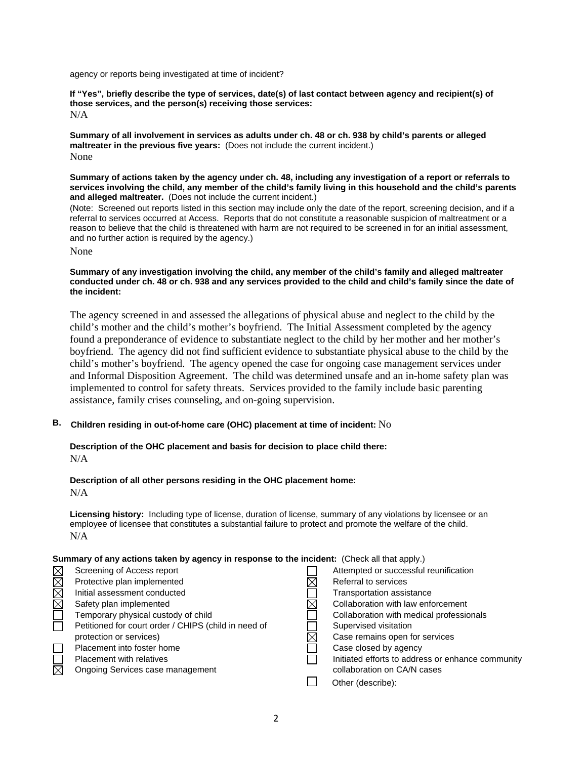agency or reports being investigated at time of incident?

**If "Yes", briefly describe the type of services, date(s) of last contact between agency and recipient(s) of those services, and the person(s) receiving those services:**   $N/A$ 

**Summary of all involvement in services as adults under ch. 48 or ch. 938 by child's parents or alleged maltreater in the previous five years:** (Does not include the current incident.) None

**Summary of actions taken by the agency under ch. 48, including any investigation of a report or referrals to services involving the child, any member of the child's family living in this household and the child's parents and alleged maltreater.** (Does not include the current incident.)

(Note: Screened out reports listed in this section may include only the date of the report, screening decision, and if a referral to services occurred at Access. Reports that do not constitute a reasonable suspicion of maltreatment or a reason to believe that the child is threatened with harm are not required to be screened in for an initial assessment, and no further action is required by the agency.)

None

#### **Summary of any investigation involving the child, any member of the child's family and alleged maltreater conducted under ch. 48 or ch. 938 and any services provided to the child and child's family since the date of the incident:**

The agency screened in and assessed the allegations of physical abuse and neglect to the child by the child's mother and the child's mother's boyfriend. The Initial Assessment completed by the agency found a preponderance of evidence to substantiate neglect to the child by her mother and her mother's boyfriend. The agency did not find sufficient evidence to substantiate physical abuse to the child by the child's mother's boyfriend. The agency opened the case for ongoing case management services under and Informal Disposition Agreement. The child was determined unsafe and an in-home safety plan was implemented to control for safety threats. Services provided to the family include basic parenting assistance, family crises counseling, and on-going supervision.

## **B. Children residing in out-of-home care (OHC) placement at time of incident:** No

### **Description of the OHC placement and basis for decision to place child there:** N/A

### **Description of all other persons residing in the OHC placement home:**  $N/A$

**Licensing history:** Including type of license, duration of license, summary of any violations by licensee or an employee of licensee that constitutes a substantial failure to protect and promote the welfare of the child.  $N/A$ 

#### **Summary of any actions taken by agency in response to the incident:** (Check all that apply.)

| $\boxtimes$ | Screening of Access report                           | Attempted or successful reunification             |
|-------------|------------------------------------------------------|---------------------------------------------------|
|             | Protective plan implemented                          | Referral to services                              |
| $\boxtimes$ | Initial assessment conducted                         | <b>Transportation assistance</b>                  |
| $\boxtimes$ | Safety plan implemented                              | Collaboration with law enforcement                |
|             | Temporary physical custody of child                  | Collaboration with medical professionals          |
|             | Petitioned for court order / CHIPS (child in need of | Supervised visitation                             |
|             | protection or services)                              | Case remains open for services                    |
|             | Placement into foster home                           | Case closed by agency                             |
|             | Placement with relatives                             | Initiated efforts to address or enhance community |
| $\boxtimes$ | Ongoing Services case management                     | collaboration on CA/N cases                       |
|             |                                                      | Other (describe):                                 |
|             |                                                      |                                                   |